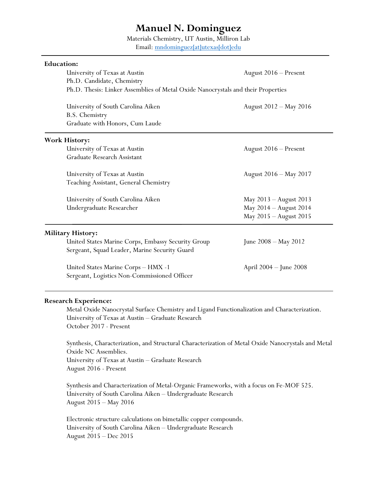# **Manuel N. Dominguez**

Materials Chemistry, UT Austin, Milliron Lab

Email: [mndominguez\[at\]utexas\[dot\]edu](mailto:mndominguez@utexas.edu)

| <b>Education:</b>                                                                                   |                                                                                  |  |  |  |  |
|-----------------------------------------------------------------------------------------------------|----------------------------------------------------------------------------------|--|--|--|--|
| University of Texas at Austin                                                                       | August 2016 - Present                                                            |  |  |  |  |
| Ph.D. Candidate, Chemistry                                                                          |                                                                                  |  |  |  |  |
|                                                                                                     | Ph.D. Thesis: Linker Assemblies of Metal Oxide Nanocrystals and their Properties |  |  |  |  |
| University of South Carolina Aiken<br>B.S. Chemistry                                                | August 2012 – May 2016                                                           |  |  |  |  |
| Graduate with Honors, Cum Laude                                                                     |                                                                                  |  |  |  |  |
| <b>Work History:</b>                                                                                |                                                                                  |  |  |  |  |
| University of Texas at Austin                                                                       | August 2016 - Present                                                            |  |  |  |  |
| Graduate Research Assistant                                                                         |                                                                                  |  |  |  |  |
| University of Texas at Austin                                                                       | August 2016 - May 2017                                                           |  |  |  |  |
| Teaching Assistant, General Chemistry                                                               |                                                                                  |  |  |  |  |
| University of South Carolina Aiken                                                                  | May 2013 - August 2013                                                           |  |  |  |  |
| Undergraduate Researcher                                                                            | May 2014 - August 2014                                                           |  |  |  |  |
|                                                                                                     | May 2015 - August 2015                                                           |  |  |  |  |
| <b>Military History:</b>                                                                            |                                                                                  |  |  |  |  |
| United States Marine Corps, Embassy Security Group<br>Sergeant, Squad Leader, Marine Security Guard | June 2008 – May 2012                                                             |  |  |  |  |
| United States Marine Corps - HMX -1<br>Sergeant, Logistics Non-Commissioned Officer                 | April 2004 – June 2008                                                           |  |  |  |  |

## **Research Experience:**

Metal Oxide Nanocrystal Surface Chemistry and Ligand Functionalization and Characterization. University of Texas at Austin – Graduate Research October 2017 - Present

Synthesis, Characterization, and Structural Characterization of Metal Oxide Nanocrystals and Metal Oxide NC Assemblies. University of Texas at Austin – Graduate Research August 2016 - Present

Synthesis and Characterization of Metal-Organic Frameworks, with a focus on Fe-MOF 525. University of South Carolina Aiken – Undergraduate Research August 2015 – May 2016

Electronic structure calculations on bimetallic copper compounds. University of South Carolina Aiken – Undergraduate Research August 2015 – Dec 2015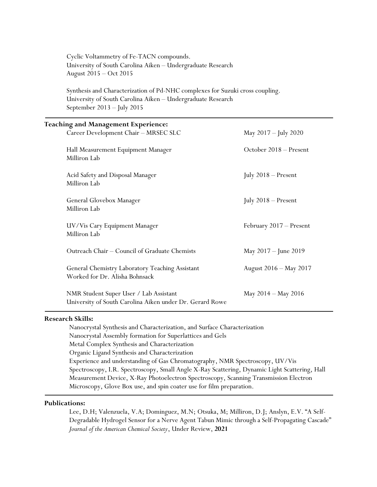| Cyclic Voltammetry of Fe-TACN compounds.<br>University of South Carolina Aiken - Undergraduate Research<br>August 2015 - Oct 2015                                          |                         |  |
|----------------------------------------------------------------------------------------------------------------------------------------------------------------------------|-------------------------|--|
| Synthesis and Characterization of Pd-NHC complexes for Suzuki cross coupling.<br>University of South Carolina Aiken - Undergraduate Research<br>September 2013 - July 2015 |                         |  |
| <b>Teaching and Management Experience:</b>                                                                                                                                 |                         |  |
| Career Development Chair - MRSEC SLC                                                                                                                                       | May 2017 - July 2020    |  |
| Hall Measurement Equipment Manager<br>Milliron Lab                                                                                                                         | October 2018 - Present  |  |
| Acid Safety and Disposal Manager<br>Milliron Lab                                                                                                                           | July $2018$ – Present   |  |
| General Glovebox Manager<br>Milliron Lab                                                                                                                                   | July 2018 - Present     |  |
| UV/Vis Cary Equipment Manager<br>Milliron Lab                                                                                                                              | February 2017 - Present |  |
| Outreach Chair - Council of Graduate Chemists                                                                                                                              | May 2017 - June 2019    |  |
| General Chemistry Laboratory Teaching Assistant<br>Worked for Dr. Alisha Bohnsack                                                                                          | August 2016 - May 2017  |  |
| NMR Student Super User / Lab Assistant<br>University of South Carolina Aiken under Dr. Gerard Rowe                                                                         | May 2014 - May 2016     |  |

### **Research Skills:**

Nanocrystal Synthesis and Characterization, and Surface Characterization Nanocrystal Assembly formation for Superlattices and Gels Metal Complex Synthesis and Characterization Organic Ligand Synthesis and Characterization Experience and understanding of Gas Chromatography, NMR Spectroscopy, UV/Vis Spectroscopy, I.R. Spectroscopy, Small Angle X-Ray Scattering, Dynamic Light Scattering, Hall Measurement Device, X-Ray Photoelectron Spectroscopy, Scanning Transmission Electron Microscopy, Glove Box use, and spin coater use for film preparation.

## **Publications:**

Lee, D.H; Valenzuela, V.A; Dominguez, M.N; Otsuka, M; Milliron, D.J; Anslyn, E.V. "A Self-Degradable Hydrogel Sensor for a Nerve Agent Tabun Mimic through a Self-Propagating Cascade" *Journal of the American Chemical Society*, Under Review, **2021**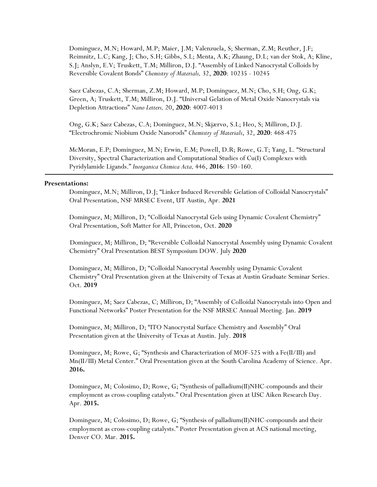Dominguez, M.N; Howard, M.P; Maier, J.M; Valenzuela, S; Sherman, Z.M; Reuther, J.F; Reimnitz, L.C; Kang, J; Cho, S.H; Gibbs, S.L; Menta, A.K; Zhaung, D.L; van der Stok, A; Kline, S.J; Anslyn, E.V; Truskett, T.M; Milliron, D.J. "Assembly of Linked Nanocrystal Colloids by Reversible Covalent Bonds" *Chemistry of Materials,* 32, **2020**: 10235 - 10245

Saez Cabezas, C.A; Sherman, Z.M; Howard, M.P; Dominguez, M.N; Cho, S.H; Ong, G.K; Green, A; Truskett, T.M; Milliron, D.J. "Universal Gelation of Metal Oxide Nanocrystals via Depletion Attractions" *Nano Letters,* 20, **2020**: 4007-4013

Ong, G.K; Saez Cabezas, C.A; Dominguez, M.N; Skjærvø, S.L; Heo, S; Milliron, D.J. "Electrochromic Niobium Oxide Nanorods" *Chemistry of Materials*, 32, **2020**: 468-475

McMoran, E.P; Dominguez, M.N; Erwin, E.M; Powell, D.R; Rowe, G.T; Yang, L. "Structural Diversity, Spectral Characterization and Computational Studies of Cu(I) Complexes with Pyridylamide Ligands." *Inorganica Chimica Acta,* 446, **2016**: 150–160.

#### **Presentations:**

Dominguez, M.N; Milliron, D.J; "Linker Induced Reversible Gelation of Colloidal Nanocrystals" Oral Presentation, NSF MRSEC Event, UT Austin, Apr. **2021**

Dominguez, M; Milliron, D; "Colloidal Nanocrystal Gels using Dynamic Covalent Chemistry" Oral Presentation, Soft Matter for All, Princeton, Oct. **2020**

 Dominguez, M; Milliron, D; "Reversible Colloidal Nanocrystal Assembly using Dynamic Covalent Chemistry" Oral Presentation BEST Symposium DOW. July **2020**

Dominguez, M; Milliron, D; "Colloidal Nanocrystal Assembly using Dynamic Covalent Chemistry" Oral Presentation given at the University of Texas at Austin Graduate Seminar Series. Oct. **2019**

Dominguez, M; Saez Cabezas, C; Milliron, D; "Assembly of Colloidal Nanocrystals into Open and Functional Networks" Poster Presentation for the NSF MRSEC Annual Meeting. Jan. **2019**

Dominguez, M; Milliron, D; "ITO Nanocrystal Surface Chemistry and Assembly" Oral Presentation given at the University of Texas at Austin. July. **2018**

Dominguez, M; Rowe, G; "Synthesis and Characterization of MOF-525 with a Fe(II/III) and Mn(II/III) Metal Center." Oral Presentation given at the South Carolina Academy of Science. Apr. **2016.**

Dominguez, M; Colosimo, D; Rowe, G; "Synthesis of palladium(II)NHC-compounds and their employment as cross-coupling catalysts." Oral Presentation given at USC Aiken Research Day. Apr. **2015.**

Dominguez, M; Colosimo, D; Rowe, G; "Synthesis of palladium(II)NHC-compounds and their employment as cross-coupling catalysts." Poster Presentation given at ACS national meeting, Denver CO. Mar. **2015.**